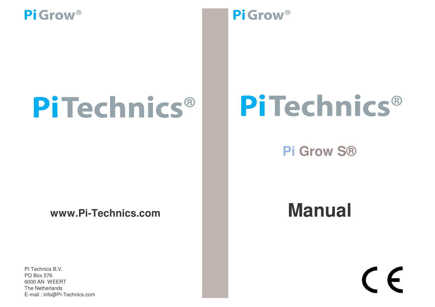# PiTechnics®

**www.Pi-Technics.com**

PI Technics B.V. The Netherlands E-mail : info@Pi-Technics.com PO Box 576 6000 AN WEERT

### Pi Grow<sup>®</sup>

# PiTechnics®

**Pi Grow S®**

# **Manual**

# $\epsilon$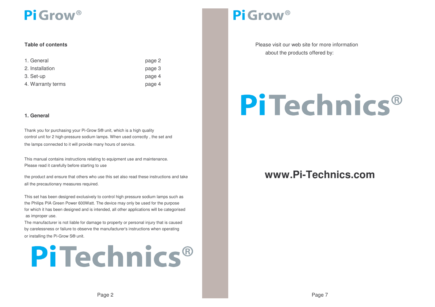#### **Table**

| 1. General        | page 2 |
|-------------------|--------|
| 2. Installation   | page 3 |
| 3. Set-up         | page 4 |
| 4. Warranty terms | page 4 |

#### **1. General**

Thank you for purchasing your Pi-Grow S® unit, which is <sup>a</sup> high quality control unit for 2 high-pressure sodium lamps. When used correctly , the set and the lamps connected to it will provide many hours of service.

Please read it carefully before starting to use This manual contains instructions relating to equipment use and maintenance.

the product and ensure that others who use this set also read these instructions and take all the precautionary measures required.

as improper use. This set has been designed exclusively to control high pressure sodium lamps such as the Philips PIA Green Power 600Watt. The device may only be used for the purpose for which it has been designed and is intended, all other applications will be categorised

by carelessness or failure to observe the manufacturer's instructions when operating The manufacturer is not liable for damage to property or personal injury that is caused or installing the Pi-Grow S® unit.

# PiTechnics®

### Pi Grow<sup>®</sup>

Please visit our web site for more information about the products offered by:

# **PiTechnics**®

#### **www.Pi-Technics.com**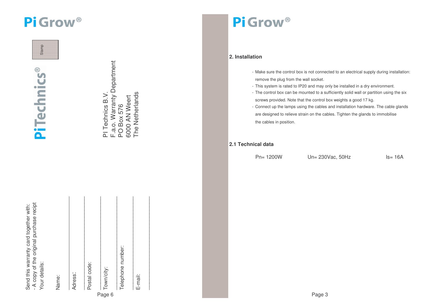Stamp

PiTechnics®

| Send this warranty card together with:   |
|------------------------------------------|
| - A copy of the original purchase recipi |
| Your details:                            |

Name:

|   | Adress:           |
|---|-------------------|
|   | Postal code:      |
| ⌒ | Town/city:        |
|   | Telephone number: |

PI Technics B.V.

PI Technics B.V.

F.a.o. Warranty Department

F.a.o. Warranty Department

PO Box 576 Box 576 6000 AN Weert The Netherlands

6000 AN Weert<br>The Netherlands

Pi Grow<sup>®</sup>

#### **2. Installation**

- Make sure the control box is not connected to an electrical supply during installation: remove the plug from the wall socket.
- This system is rated to IP20 and may only be installed in <sup>a</sup> dry environment.
- The control box can be mounted to <sup>a</sup> sufficiently solid wall or partition using the six screws provided. Note that the control box weights <sup>a</sup> good 17 kg.
- Connect up the lamps using the cables and installation hardware. The cable glands are designed to relieve strain on the cables. Tighten the glands to im mobilise the cables in position.

#### **2.1 T e c h nic al d ata**

Pn= 12 00W

Un= 230Vac, 50Hz

z ls= 16A

Page 3

Page 6

 $\mathcal{L}_\text{max}$ E-mail:

 $\blacksquare$